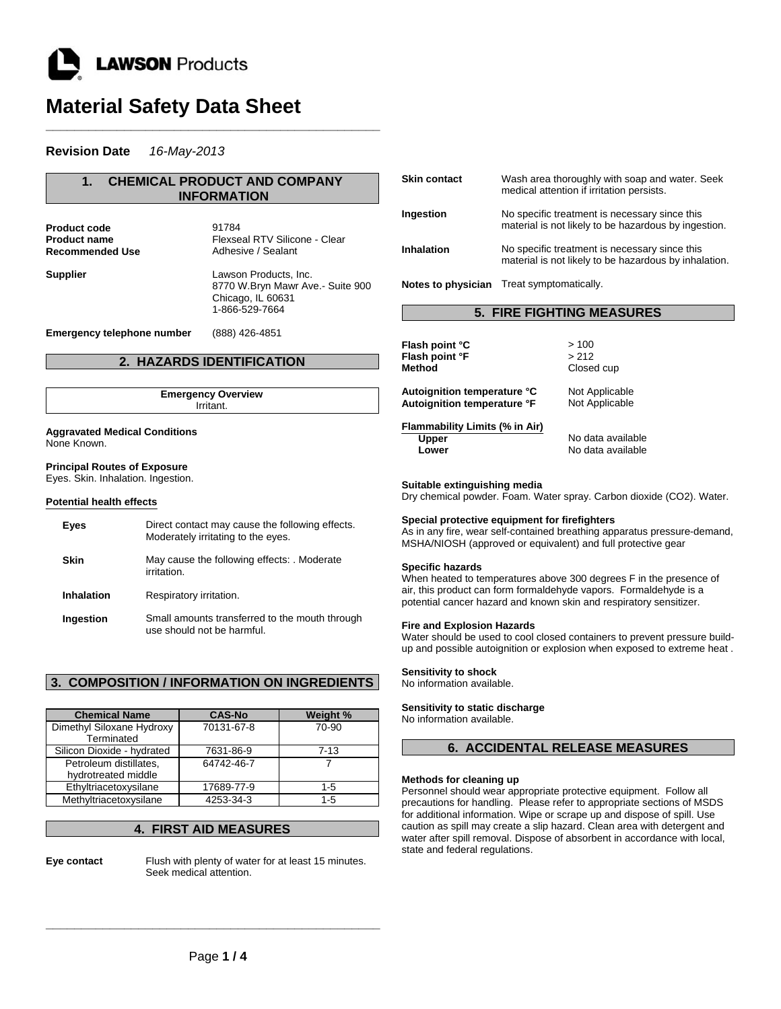

# **Material Safety Data Sheet**

**\_\_\_\_\_\_\_\_\_\_\_\_\_\_\_\_\_\_\_\_\_\_\_\_\_\_\_\_\_\_\_\_\_\_\_\_\_\_\_\_\_\_\_\_\_\_\_**

# **Revision Date** *16-May-2013*

| <b>CHEMICAL PRODUCT AND COMPANY</b><br>$\mathbf 1$<br><b>INFORMATION</b>  |                                                                                                  |  |  |  |
|---------------------------------------------------------------------------|--------------------------------------------------------------------------------------------------|--|--|--|
| <b>Product code</b><br><b>Product name</b><br>Recommended Use             | 91784<br>Flexseal RTV Silicone - Clear<br>Adhesive / Sealant                                     |  |  |  |
| Supplier                                                                  | Lawson Products, Inc.<br>8770 W.Bryn Mawr Ave.- Suite 900<br>Chicago, IL 60631<br>1-866-529-7664 |  |  |  |
| Emergency telephone number                                                | (888) 426-4851                                                                                   |  |  |  |
|                                                                           | 2. HAZARDS IDENTIFICATION                                                                        |  |  |  |
| <b>Emergency Overview</b><br>Irritant.                                    |                                                                                                  |  |  |  |
| <b>Aggravated Medical Conditions</b><br>None Known.                       |                                                                                                  |  |  |  |
| <b>Principal Routes of Exposure</b><br>Eyes. Skin. Inhalation. Ingestion. |                                                                                                  |  |  |  |
| <b>Potential health effects</b>                                           |                                                                                                  |  |  |  |
| <b>Eyes</b>                                                               | Direct contact may cause the following effects.<br>Moderately irritating to the eyes.            |  |  |  |
| <b>Skin</b>                                                               | May cause the following effects: Moderate<br>irritation.                                         |  |  |  |

**Ingestion** Small amounts transferred to the mouth through use should not be harmful.

**Inhalation** Respiratory irritation.

# **3. COMPOSITION / INFORMATION ON INGREDIENTS**

| <b>Chemical Name</b>       | <b>CAS-No</b> | Weight % |
|----------------------------|---------------|----------|
| Dimethyl Siloxane Hydroxy  | 70131-67-8    | 70-90    |
| Terminated                 |               |          |
| Silicon Dioxide - hydrated | 7631-86-9     | 7-13     |
| Petroleum distillates,     | 64742-46-7    |          |
| hydrotreated middle        |               |          |
| Ethyltriacetoxysilane      | 17689-77-9    | $1 - 5$  |
| Methyltriacetoxysilane     | 4253-34-3     | $1 - 5$  |

# **4. FIRST AID MEASURES**

**Eye contact** Flush with plenty of water for at least 15 minutes. Seek medical attention.

| <b>Skin contact</b> | Wash area thoroughly with soap and water. Seek<br>medical attention if irritation persists.            |
|---------------------|--------------------------------------------------------------------------------------------------------|
| Ingestion           | No specific treatment is necessary since this<br>material is not likely to be hazardous by ingestion.  |
| <b>Inhalation</b>   | No specific treatment is necessary since this<br>material is not likely to be hazardous by inhalation. |
|                     | Notes to physician Treat symptomatically.                                                              |

| <b>5. FIRE FIGHTING MEASURES</b> |  |
|----------------------------------|--|
|----------------------------------|--|

| Flash point °C                                          | >100                                   |
|---------------------------------------------------------|----------------------------------------|
| Flash point °F                                          | >212                                   |
| Method                                                  | Closed cup                             |
| Autoignition temperature °C                             | Not Applicable                         |
| Autoignition temperature °F                             | Not Applicable                         |
| Flammability Limits (% in Air)<br><b>Upper</b><br>Lower | No data available<br>No data available |

### **Suitable extinguishing media**

Dry chemical powder. Foam. Water spray. Carbon dioxide (CO2). Water.

### **Special protective equipment for firefighters**

As in any fire, wear self-contained breathing apparatus pressure-demand, MSHA/NIOSH (approved or equivalent) and full protective gear

### **Specific hazards**

When heated to temperatures above 300 degrees F in the presence of air, this product can form formaldehyde vapors. Formaldehyde is a potential cancer hazard and known skin and respiratory sensitizer.

### **Fire and Explosion Hazards**

Water should be used to cool closed containers to prevent pressure buildup and possible autoignition or explosion when exposed to extreme heat .

**Sensitivity to shock**

No information available.

### **Sensitivity to static discharge**

No information available.

# **6. ACCIDENTAL RELEASE MEASURES**

### **Methods for cleaning up**

Personnel should wear appropriate protective equipment. Follow all precautions for handling. Please refer to appropriate sections of MSDS for additional information. Wipe or scrape up and dispose of spill. Use caution as spill may create a slip hazard. Clean area with detergent and water after spill removal. Dispose of absorbent in accordance with local, state and federal regulations.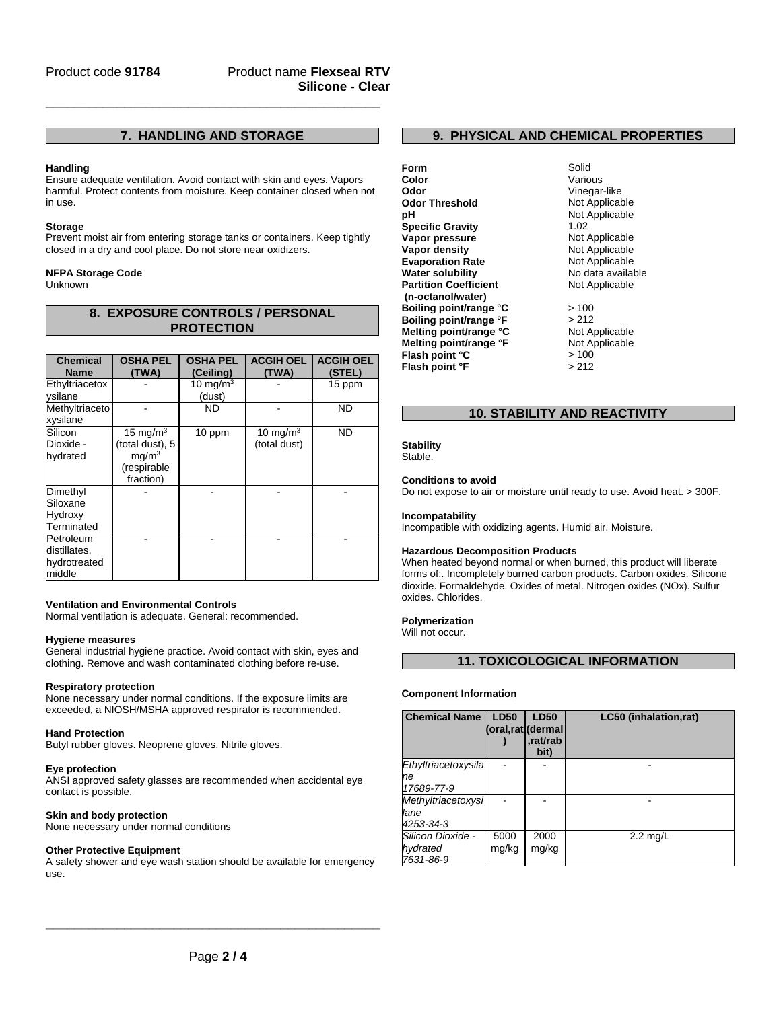# **7. HANDLING AND STORAGE**

**\_\_\_\_\_\_\_\_\_\_\_\_\_\_\_\_\_\_\_\_\_\_\_\_\_\_\_\_\_\_\_\_\_\_\_\_\_\_\_\_\_\_\_\_\_\_\_**

### **Handling**

Ensure adequate ventilation. Avoid contact with skin and eyes. Vapors harmful. Protect contents from moisture. Keep container closed when not in use.

### **Storage**

Prevent moist air from entering storage tanks or containers. Keep tightly closed in a dry and cool place. Do not store near oxidizers.

### **NFPA Storage Code**

Unknown

| 8. EXPOSURE CONTROLS / PERSONAL |  |
|---------------------------------|--|
| <b>PROTECTION</b>               |  |

| <b>Chemical</b><br><b>Name</b>                      | <b>OSHA PEL</b><br>(TWA)                                                        | <b>OSHA PEL</b><br>(Ceiling) | <b>ACGIH OEL</b><br>(TWA)   | <b>ACGIH OEL</b><br>(STEL) |
|-----------------------------------------------------|---------------------------------------------------------------------------------|------------------------------|-----------------------------|----------------------------|
| Ethyltriacetox<br>vsilane                           |                                                                                 | 10 mg/m $3$<br>(dust)        |                             | 15 ppm                     |
| Methyltriaceto<br>xysilane                          |                                                                                 | <b>ND</b>                    |                             | <b>ND</b>                  |
| Silicon<br>Dioxide -<br>hydrated                    | 15 mg/ $m3$<br>(total dust), 5<br>mq/m <sup>3</sup><br>(respirable<br>fraction) | 10 ppm                       | 10 mg/m $3$<br>(total dust) | <b>ND</b>                  |
| Dimethyl<br>Siloxane<br>Hydroxy<br>Terminated       |                                                                                 |                              |                             |                            |
| Petroleum<br>distillates,<br>hydrotreated<br>middle |                                                                                 |                              |                             |                            |

### **Ventilation and Environmental Controls**

Normal ventilation is adequate. General: recommended.

### **Hygiene measures**

General industrial hygiene practice. Avoid contact with skin, eyes and clothing. Remove and wash contaminated clothing before re-use.

### **Respiratory protection**

None necessary under normal conditions. If the exposure limits are exceeded, a NIOSH/MSHA approved respirator is recommended.

### **Hand Protection**

Butyl rubber gloves. Neoprene gloves. Nitrile gloves.

### **Eye protection**

ANSI approved safety glasses are recommended when accidental eye contact is possible.

### **Skin and body protection**

None necessary under normal conditions

### **Other Protective Equipment**

A safety shower and eye wash station should be available for emergency use.

# **9. PHYSICAL AND CHEMICAL PROPERTIES**

**Form** Solid **Color** Various **Odor**<br> **Odor Threshold**<br> **Odor Threshold CODOR CODOR CODOR CODOR CODOR CODOR CODOR CODOR CODOR CODOR Odor Threshold pH** Not Applicable<br> **Specific Gravity** 1.02 **Specific Gravity Vapor pressure** Not Applicable<br> **Vapor density** Not Applicable **Vapor density**<br> **Evaporation Rate**<br> **Evaporation Rate**<br> **Not Applicable Evaporation Rate<br>Water solubility Partition Coefficient (n-octanol/water) Boiling point/range °C** > 100<br> **Boiling point/range °F** > 212 **Boiling point/range °F Melting point/range °C** Not Applicable<br> **Melting point/range °F** Not Applicable **Melting point/range °F** Not Applicable Not Applicable Not Applicable Not Applicable Not Applicable Not Applicable Not Applicable Not Applicable Not Applicable Not Applicable Not Applicable Not Applicable Not Applicable No **Flash point °C** > 100<br> **Flash point °F** > 212 **Flash point °F** 

# No data available Not Applicable

# **10. STABILITY AND REACTIVITY**

**Stability** Stable.

### **Conditions to avoid**

Do not expose to air or moisture until ready to use. Avoid heat. > 300F.

### **Incompatability**

Incompatible with oxidizing agents. Humid air. Moisture.

### **Hazardous Decomposition Products**

When heated beyond normal or when burned, this product will liberate forms of:. Incompletely burned carbon products. Carbon oxides. Silicone dioxide. Formaldehyde. Oxides of metal. Nitrogen oxides (NOx). Sulfur oxides. Chlorides.

### **Polymerization**

Will not occur.

### **11. TOXICOLOGICAL INFORMATION**

# **Component Information**

| <b>Chemical Name</b>                       | <b>LD50</b><br>(oral,rat (dermal | <b>LD50</b><br>rat/rab.<br>bit) | LC50 (inhalation,rat) |
|--------------------------------------------|----------------------------------|---------------------------------|-----------------------|
| Ethyltriacetoxysila<br>ne<br>17689-77-9    |                                  |                                 |                       |
| Methyltriacetoxysi<br>lane<br>4253-34-3    |                                  |                                 |                       |
| Silicon Dioxide -<br>hydrated<br>7631-86-9 | 5000<br>mg/kg                    | 2000<br>mg/kg                   | $2.2 \text{ mq/L}$    |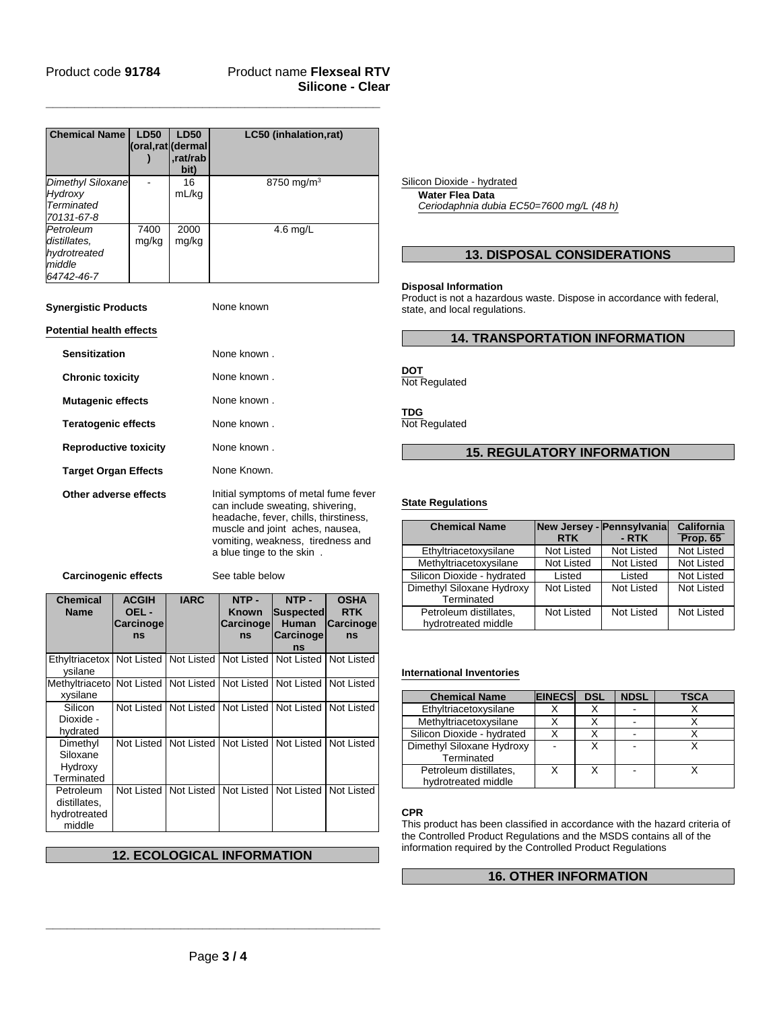# Product name **Flexseal RTV Silicone - Clear**

| <b>Chemical Name</b>                                              | <b>LD50</b><br>(oral,rat (dermal | <b>LD50</b><br>.rat/rab<br>bit) | LC50 (inhalation,rat)  |
|-------------------------------------------------------------------|----------------------------------|---------------------------------|------------------------|
| Dimethyl Siloxane<br>Hydroxy<br><b>Terminated</b><br>70131-67-8   |                                  | 16<br>mL/kg                     | 8750 mg/m <sup>3</sup> |
| Petroleum<br>distillates.<br>hydrotreated<br>middle<br>64742-46-7 | 7400<br>mg/kg                    | 2000<br>mg/kg                   | $4.6$ mg/L             |

**\_\_\_\_\_\_\_\_\_\_\_\_\_\_\_\_\_\_\_\_\_\_\_\_\_\_\_\_\_\_\_\_\_\_\_\_\_\_\_\_\_\_\_\_\_\_\_**

**Synergistic Products** None known

### **Potential health effects**

| <b>Sensitization</b>         | None known.                                                                                                                                                                                                            |
|------------------------------|------------------------------------------------------------------------------------------------------------------------------------------------------------------------------------------------------------------------|
| <b>Chronic toxicity</b>      | None known.                                                                                                                                                                                                            |
| <b>Mutagenic effects</b>     | None known.                                                                                                                                                                                                            |
| <b>Teratogenic effects</b>   | None known.                                                                                                                                                                                                            |
| <b>Reproductive toxicity</b> | None known                                                                                                                                                                                                             |
| <b>Target Organ Effects</b>  | None Known.                                                                                                                                                                                                            |
| Other adverse effects        | Initial symptoms of metal fume fever<br>can include sweating, shivering,<br>headache, fever, chills, thirstiness,<br>muscle and joint aches, nausea,<br>vomiting, weakness, tiredness and<br>a blue tinge to the skin. |

**Carcinogenic effects** See table below

| <b>Chemical</b><br><b>Name</b>                      | <b>ACGIH</b><br>OEL-<br>Carcinoge<br>ns | <b>IARC</b>                                       | NTP-<br><b>Known</b><br>Carcinoge<br>ns | NTP-<br>Suspected<br>Human<br><b>Carcinoge</b><br>ns | <b>OSHA</b><br><b>RTK</b><br><b>Carcinoge</b><br>ns |
|-----------------------------------------------------|-----------------------------------------|---------------------------------------------------|-----------------------------------------|------------------------------------------------------|-----------------------------------------------------|
| Ethyltriacetox<br>vsilane                           |                                         | Not Listed   Not Listed   Not Listed   Not Listed |                                         |                                                      | Not Listed                                          |
| Methyltriaceto<br>xysilane                          | Not Listed                              | Not Listed                                        | Not Listed                              | Not Listed                                           | Not Listed                                          |
| Silicon<br>Dioxide -<br>hydrated                    | Not Listed                              |                                                   | Not Listed   Not Listed                 | Not Listed                                           | Not Listed                                          |
| Dimethyl<br>Siloxane<br>Hydroxy<br>Terminated       | Not Listed                              |                                                   | Not Listed   Not Listed                 | Not Listed                                           | Not Listed                                          |
| Petroleum<br>distillates,<br>hydrotreated<br>middle | Not Listed                              | Not Listed                                        | Not Listed                              | Not Listed                                           | Not Listed                                          |

# **12. ECOLOGICAL INFORMATION**

**Water Flea Data** Silicon Dioxide - hydrated

*Ceriodaphnia dubia EC50=7600 mg/L (48 h)*

# **13. DISPOSAL CONSIDERATIONS**

### **Disposal Information**

Product is not a hazardous waste. Dispose in accordance with federal, state, and local regulations.

# **14. TRANSPORTATION INFORMATION**

# **DOT**

Not Regulated

# **TDG**

Not Regulated

# **15. REGULATORY INFORMATION**

## **State Regulations**

| <b>Chemical Name</b>                          | <b>RTK</b> | New Jersey - Pennsylvania<br>$-RTK$ | California<br><b>Prop. 65</b> |
|-----------------------------------------------|------------|-------------------------------------|-------------------------------|
| Ethyltriacetoxysilane                         | Not Listed | <b>Not Listed</b>                   | <b>Not Listed</b>             |
| Methyltriacetoxysilane                        | Not Listed | <b>Not Listed</b>                   | Not Listed                    |
| Silicon Dioxide - hydrated                    | Listed     | Listed                              | Not Listed                    |
| Dimethyl Siloxane Hydroxy<br>Terminated       | Not Listed | Not Listed                          | Not Listed                    |
| Petroleum distillates.<br>hydrotreated middle | Not Listed | Not Listed                          | Not Listed                    |

### **International Inventories**

| <b>Chemical Name</b>                          | <b>EINECS</b> | <b>DSL</b> | <b>NDSL</b> | TSCA |
|-----------------------------------------------|---------------|------------|-------------|------|
| Ethyltriacetoxysilane                         |               |            |             |      |
| Methyltriacetoxysilane                        |               |            |             |      |
| Silicon Dioxide - hydrated                    |               |            |             |      |
| Dimethyl Siloxane Hydroxy<br>Terminated       |               |            |             |      |
| Petroleum distillates,<br>hydrotreated middle |               |            |             |      |

### **CPR**

This product has been classified in accordance with the hazard criteria of the Controlled Product Regulations and the MSDS contains all of the information required by the Controlled Product Regulations

# **16. OTHER INFORMATION**